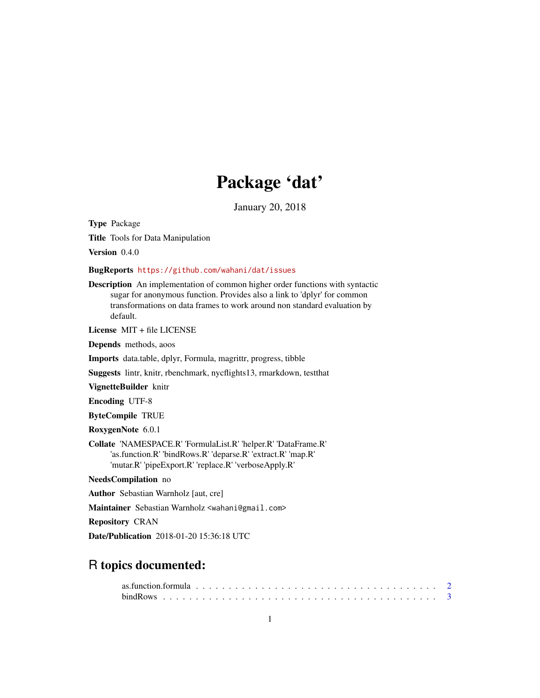## Package 'dat'

January 20, 2018

<span id="page-0-0"></span>Type Package Title Tools for Data Manipulation

Version 0.4.0

#### BugReports <https://github.com/wahani/dat/issues>

Description An implementation of common higher order functions with syntactic sugar for anonymous function. Provides also a link to 'dplyr' for common transformations on data frames to work around non standard evaluation by default.

License MIT + file LICENSE

Depends methods, aoos

Imports data.table, dplyr, Formula, magrittr, progress, tibble

Suggests lintr, knitr, rbenchmark, nycflights13, rmarkdown, testthat

VignetteBuilder knitr

Encoding UTF-8

ByteCompile TRUE

RoxygenNote 6.0.1

Collate 'NAMESPACE.R' 'FormulaList.R' 'helper.R' 'DataFrame.R' 'as.function.R' 'bindRows.R' 'deparse.R' 'extract.R' 'map.R' 'mutar.R' 'pipeExport.R' 'replace.R' 'verboseApply.R'

NeedsCompilation no

Author Sebastian Warnholz [aut, cre]

Maintainer Sebastian Warnholz <wahani@gmail.com>

Repository CRAN

Date/Publication 2018-01-20 15:36:18 UTC

## R topics documented: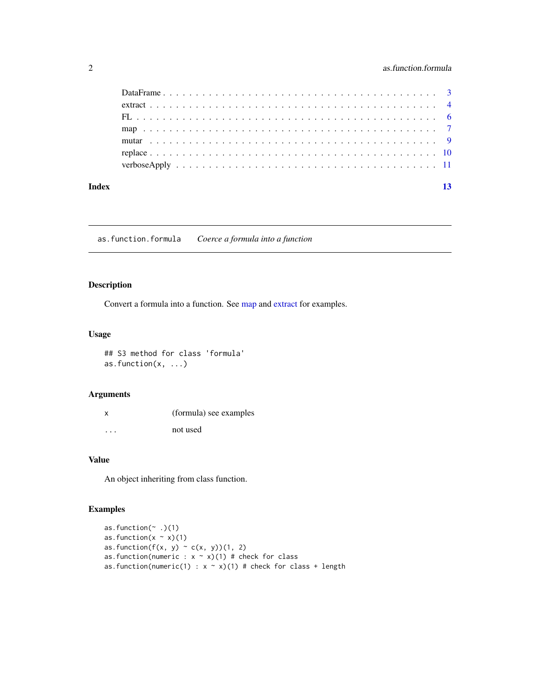## <span id="page-1-0"></span>2 **as.function.formula**

#### **Index** [13](#page-12-0)

as.function.formula *Coerce a formula into a function*

## Description

Convert a formula into a function. See [map](#page-6-1) and [extract](#page-3-1) for examples.

## Usage

## S3 method for class 'formula' as.function(x, ...)

#### Arguments

| x       | (formula) see examples |
|---------|------------------------|
| $\cdot$ | not used               |

## Value

An object inheriting from class function.

## Examples

```
as.function(~ .)(1)
as.function(x \sim x)(1)
as.function(f(x, y) ~ c(x, y))(1, 2)
as.function(numeric : x \sim x)(1) # check for class
as.function(numeric(1) : x \sim x)(1) # check for class + length
```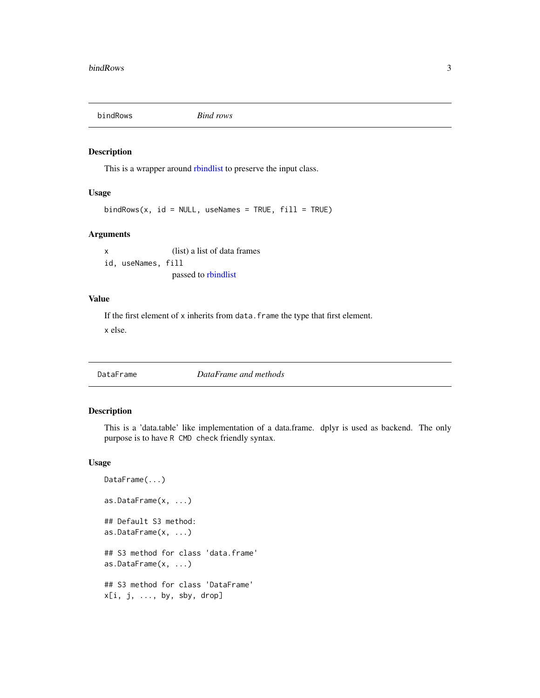<span id="page-2-1"></span><span id="page-2-0"></span>

#### Description

This is a wrapper around [rbindlist](#page-0-0) to preserve the input class.

#### Usage

 $bindRows(x, id = NULL, useNames = TRUE, fill = TRUE)$ 

#### Arguments

x (list) a list of data frames id, useNames, fill passed to [rbindlist](#page-0-0)

#### Value

If the first element of x inherits from data. frame the type that first element. x else.

<span id="page-2-2"></span>

DataFrame *DataFrame and methods*

#### Description

This is a 'data.table' like implementation of a data.frame. dplyr is used as backend. The only purpose is to have R CMD check friendly syntax.

#### Usage

```
DataFrame(...)
as.DataFrame(x, ...)
## Default S3 method:
as.DataFrame(x, ...)
## S3 method for class 'data.frame'
as.DataFrame(x, ...)
## S3 method for class 'DataFrame'
x[i, j, ..., by, sby, drop]
```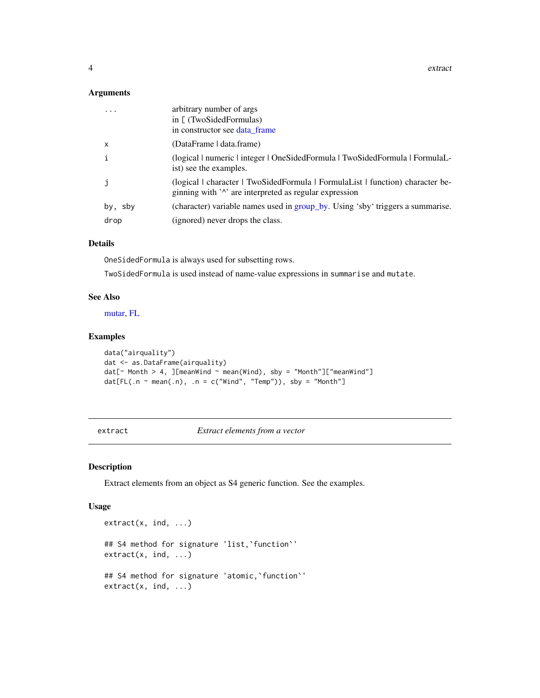<span id="page-3-0"></span>4 extract the contract of the contract of the contract of the contract of the contract of the contract of the contract of the contract of the contract of the contract of the contract of the contract of the contract of the

#### Arguments

| arbitrary number of args<br>in $[$ (TwoSidedFormulas)<br>in constructor see data frame                                                                         |
|----------------------------------------------------------------------------------------------------------------------------------------------------------------|
| (DataFrame   data.frame)                                                                                                                                       |
| (logical   numeric   integer   OneSidedFormula   TwoSidedFormula   FormulaL<br>ist) see the examples.                                                          |
| (logical character TwoSidedFormula FormulaList Function) character be-<br>ginning with ' <sup><math>\lambda</math></sup> are interpreted as regular expression |
| (character) variable names used in group_by. Using 'sby' triggers a summarise.                                                                                 |
| (ignored) never drops the class.                                                                                                                               |
|                                                                                                                                                                |

#### Details

OneSidedFormula is always used for subsetting rows.

TwoSidedFormula is used instead of name-value expressions in summarise and mutate.

#### See Also

[mutar,](#page-8-1) [FL](#page-5-1)

#### Examples

```
data("airquality")
dat <- as.DataFrame(airquality)
dat[\sim Month > 4, ][meanWind \sim mean(Wind), sby = "Month"]["meanWind"]
dat[FL( .n \sim mean( .n), .n = c("Wind", "Temp")), sby = "Month"]
```
<span id="page-3-1"></span>extract *Extract elements from a vector*

#### Description

Extract elements from an object as S4 generic function. See the examples.

#### Usage

```
extract(x, ind, ...)
## S4 method for signature 'list,`function`'
extract(x, ind, ...)## S4 method for signature 'atomic,`function`'
extract(x, ind, ...)
```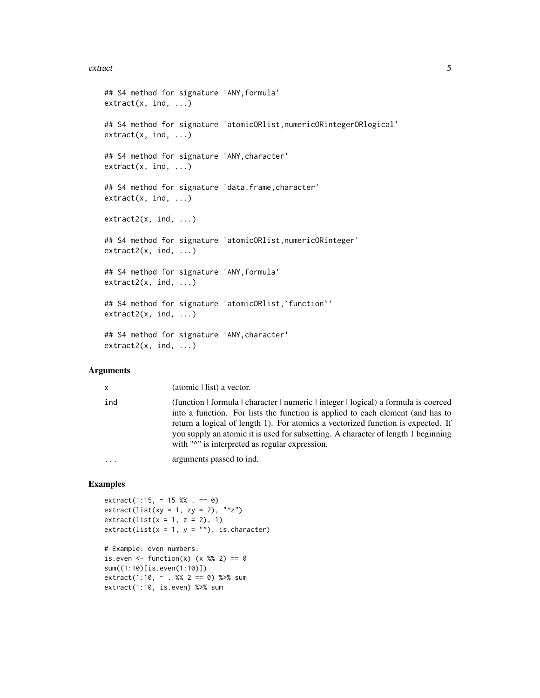#### extract 5 and 5 and 5 and 5 and 5 and 5 and 5 and 5 and 5 and 5 and 5 and 5 and 5 and 5 and 5 and 5 and 5 and 5 and 5 and 5 and 5 and 5 and 5 and 5 and 5 and 5 and 5 and 5 and 5 and 5 and 5 and 5 and 5 and 5 and 5 and 5 an

```
## S4 method for signature 'ANY,formula'
extract(x, ind, ...)## S4 method for signature 'atomicORlist,numericORintegerORlogical'
extract(x, ind, ...)## S4 method for signature 'ANY,character'
extract(x, ind, ...)## S4 method for signature 'data.frame, character'
extract(x, ind, ...)extract2(x, ind, ...)
## S4 method for signature 'atomicORlist,numericORinteger'
extract2(x, ind, ...)## S4 method for signature 'ANY,formula'
extract2(x, ind, ...)## S4 method for signature 'atomicORlist, 'function''
extract2(x, ind, ...)
## S4 method for signature 'ANY,character'
extract2(x, ind, ...)
```
#### Arguments

| $\mathsf{x}$ | (atomic   list) a vector.                                                                                                                                                                                                                                                                                                                                                                                                      |
|--------------|--------------------------------------------------------------------------------------------------------------------------------------------------------------------------------------------------------------------------------------------------------------------------------------------------------------------------------------------------------------------------------------------------------------------------------|
| ind          | (function   formula   character   numeric   integer   logical) a formula is coerced<br>into a function. For lists the function is applied to each element (and has to<br>return a logical of length 1). For atomics a vectorized function is expected. If<br>you supply an atomic it is used for subsetting. A character of length 1 beginning<br>with " <sup><math>\land</math></sup> " is interpreted as regular expression. |
|              | arguments passed to ind.                                                                                                                                                                                                                                                                                                                                                                                                       |

## Examples

 $extract(1:15, ~ 15 %$  % . == 0)  $extract(list(xy = 1, zy = 2), "^z")$  $extract(list(x = 1, z = 2), 1)$  $extract(list(x = 1, y = ""), is-character)$ 

```
# Example: even numbers:
is.even \le function(x) (x %% 2) == 0
sum((1:10)[is.even(1:10)])
extract(1:10, \sim . %% 2 == 0) %>% sum
extract(1:10, is.even) %>% sum
```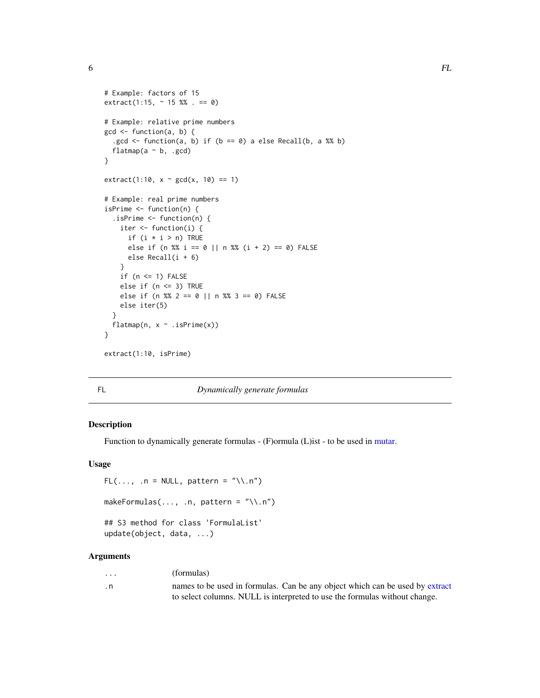<span id="page-5-0"></span> $\epsilon$  6 FL

```
# Example: factors of 15
extract(1:15, ~ 15 % ~ . = 0)# Example: relative prime numbers
gcd <- function(a, b) {
  .gcd \le function(a, b) if (b == 0) a else Recall(b, a %% b)
  flatmap(a \sim b, .gcd)
}
extract(1:10, x ~^; gcd(x, 10) == 1)# Example: real prime numbers
isPrime <- function(n) {
  .isPrime <- function(n) {
   iter <- function(i) {
      if (i * i > n) TRUE
      else if (n %% i == 0 || n %% (i + 2) == 0) FALSE
      else Recall(i + 6)
    }
   if (n \leq 1) FALSE
   else if (n <= 3) TRUE
   else if (n %% 2 == 0 || n %% 3 == 0) FALSE
   else iter(5)
  }
  flatmap(n, x \sim .isPrime(x))
}
extract(1:10, isPrime)
```
<span id="page-5-1"></span>

FL *Dynamically generate formulas*

#### Description

Function to dynamically generate formulas - (F)ormula (L)ist - to be used in [mutar.](#page-8-1)

#### Usage

```
FL(..., n = NULL, pattern = "\\ \n...")makeFormulas(..., n, pattern = "\\.n")
```

```
## S3 method for class 'FormulaList'
update(object, data, ...)
```
#### Arguments

| $\cdots$ | (formulas)                                                                   |
|----------|------------------------------------------------------------------------------|
| . n      | names to be used in formulas. Can be any object which can be used by extract |
|          | to select columns. NULL is interpreted to use the formulas without change.   |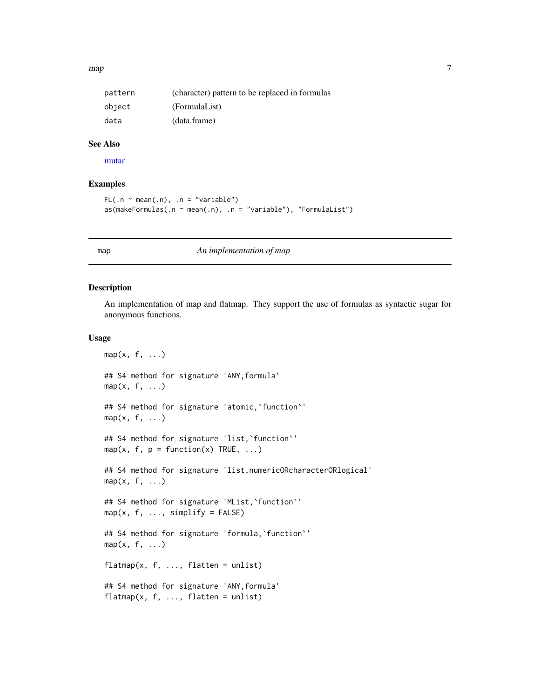#### <span id="page-6-0"></span> $map$   $\hspace{1.5cm}$  7

| pattern | (character) pattern to be replaced in formulas |
|---------|------------------------------------------------|
| object  | (FormulaList)                                  |
| data    | (data.frame)                                   |

#### See Also

[mutar](#page-8-1)

## Examples

```
FL( . n \sim mean( . n), . n = "variable")as(makeFormulas(n \sim mean(.n), n = "variable"), "Formulalist")
```
#### <span id="page-6-1"></span>map *An implementation of map*

#### <span id="page-6-2"></span>Description

An implementation of map and flatmap. They support the use of formulas as syntactic sugar for anonymous functions.

#### Usage

```
map(x, f, \ldots)## S4 method for signature 'ANY,formula'
map(x, f, \ldots)## S4 method for signature 'atomic,`function`'
map(x, f, \ldots)## S4 method for signature 'list, `function`'
map(x, f, p = function(x) TRUE, ...)
## S4 method for signature 'list, numericORcharacterORlogical'
map(x, f, \ldots)## S4 method for signature 'MList,`function`'
map(x, f, ..., simplify = FALSE)## S4 method for signature 'formula,`function`'
map(x, f, \ldots)flatmap(x, f, ..., flatten = unlist)## S4 method for signature 'ANY,formula'
flatmap(x, f, ..., flatten = units)
```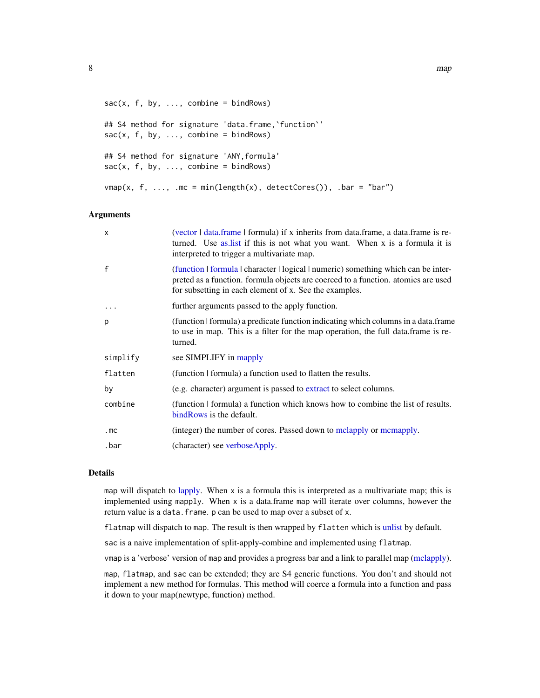```
sac(x, f, by, ..., combine = bindRows)## S4 method for signature 'data.frame, 'function''
sac(x, f, by, ..., combine = bindRows)## S4 method for signature 'ANY,formula'
sac(x, f, by, ..., combine = bindRows)vmap(x, f, ..., mc = min(length(x), detectCores());. bar = "bar")
```
#### Arguments

| $\mathsf{x}$ | (vector   data.frame   formula) if x inherits from data.frame, a data.frame is re-<br>turned. Use as list if this is not what you want. When x is a formula it is<br>interpreted to trigger a multivariate map.                   |
|--------------|-----------------------------------------------------------------------------------------------------------------------------------------------------------------------------------------------------------------------------------|
| $\mathbf{f}$ | (function   formula   character   logical   numeric) something which can be inter-<br>preted as a function. formula objects are coerced to a function. atomics are used<br>for subsetting in each element of x. See the examples. |
| $\ddotsc$    | further arguments passed to the apply function.                                                                                                                                                                                   |
| p            | (function   formula) a predicate function indicating which columns in a data.frame<br>to use in map. This is a filter for the map operation, the full data frame is re-<br>turned.                                                |
| simplify     | see SIMPLIFY in mapply                                                                                                                                                                                                            |
| flatten      | (function   formula) a function used to flatten the results.                                                                                                                                                                      |
| by           | (e.g. character) argument is passed to extract to select columns.                                                                                                                                                                 |
| combine      | (function   formula) a function which knows how to combine the list of results.<br>bindRows is the default.                                                                                                                       |
| .mC          | (integer) the number of cores. Passed down to mclapply or mcmapply.                                                                                                                                                               |
| .bar         | (character) see verboseApply.                                                                                                                                                                                                     |

## Details

map will dispatch to [lapply.](#page-0-0) When  $x$  is a formula this is interpreted as a multivariate map; this is implemented using mapply. When x is a data.frame map will iterate over columns, however the return value is a data. frame. p can be used to map over a subset of x.

flatmap will dispatch to map. The result is then wrapped by flatten which is [unlist](#page-0-0) by default.

sac is a naive implementation of split-apply-combine and implemented using flatmap.

vmap is a 'verbose' version of map and provides a progress bar and a link to parallel map [\(mclapply\)](#page-0-0).

map, flatmap, and sac can be extended; they are S4 generic functions. You don't and should not implement a new method for formulas. This method will coerce a formula into a function and pass it down to your map(newtype, function) method.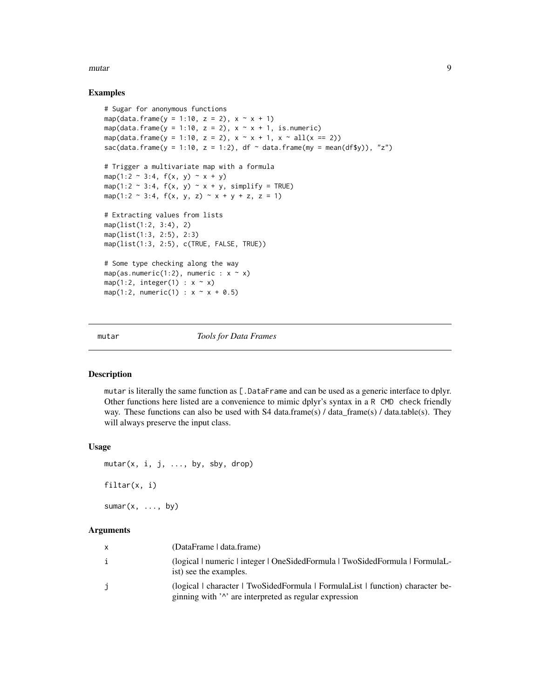<span id="page-8-0"></span>mutar and the set of the set of the set of the set of the set of the set of the set of the set of the set of the set of the set of the set of the set of the set of the set of the set of the set of the set of the set of the

#### Examples

```
# Sugar for anonymous functions
map(data.frame(y = 1:10, z = 2), x \sim x + 1)
map(data.frame(y = 1:10, z = 2), x \sim x + 1, is.numeric)
map(data.frame(y = 1:10, z = 2), x ~ x + 1, x ~ all(x == 2))
sac(data.frame(y = 1:10, z = 1:2), df \sim data.frame(my = mean(df$y)), "z")
# Trigger a multivariate map with a formula
map(1:2 \sim 3:4, f(x, y) \sim x + y)map(1:2 \sim 3:4, f(x, y) \sim x + y, simplify = TRUE)
map(1:2 ~ 3:4, f(x, y, z) ~ x + y + z, z = 1)
# Extracting values from lists
map(list(1:2, 3:4), 2)
map(list(1:3, 2:5), 2:3)
map(list(1:3, 2:5), c(TRUE, FALSE, TRUE))
# Some type checking along the way
map(as.numeric(1:2), numeric : x \sim x)
map(1:2, integer(1) : x \sim x)
map(1:2, numeric(1) : x ~ x + 0.5)
```
<span id="page-8-1"></span>

mutar *Tools for Data Frames*

#### Description

mutar is literally the same function as [.DataFrame and can be used as a generic interface to dplyr. Other functions here listed are a convenience to mimic dplyr's syntax in a R CMD check friendly way. These functions can also be used with S4 data.frame(s) / data\_frame(s) / data.table(s). They will always preserve the input class.

#### Usage

 $mutar(x, i, j, ..., by, sby, drop)$ 

filtar(x, i)

 $sumar(x, ..., by)$ 

#### **Arguments**

| $\mathbf{x}$ | (DataFrame   data.frame)                                                                                                                                       |
|--------------|----------------------------------------------------------------------------------------------------------------------------------------------------------------|
| $\mathbf{1}$ | (logical   numeric   integer   OneSidedFormula   TwoSidedFormula   FormulaL<br>ist) see the examples.                                                          |
| $\mathbf{1}$ | (logical character TwoSidedFormula FormulaList Function) character be-<br>ginning with ' <sup><math>\lambda</math></sup> are interpreted as regular expression |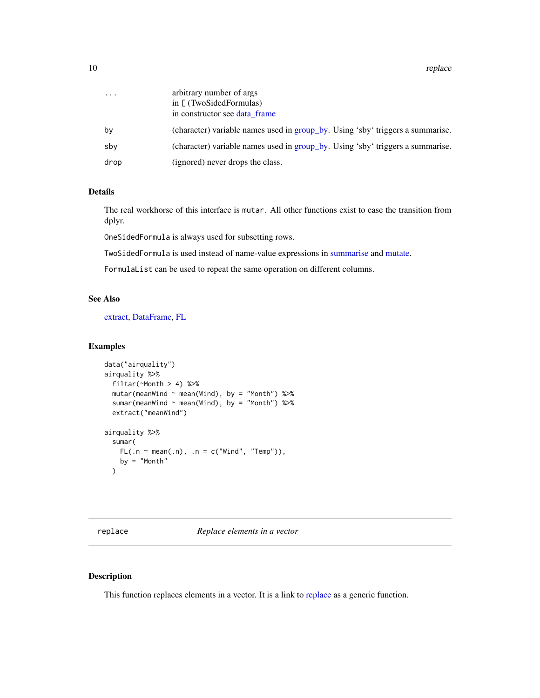<span id="page-9-0"></span>10 replace the contract of the contract of the contract of the contract of the contract of the contract of the contract of the contract of the contract of the contract of the contract of the contract of the contract of the

| .    | arbitrary number of args                                                       |
|------|--------------------------------------------------------------------------------|
|      | in [ (TwoSidedFormulas)                                                        |
|      | in constructor see data frame                                                  |
| bν   | (character) variable names used in group_by. Using 'sby' triggers a summarise. |
| sbv  | (character) variable names used in group_by. Using 'sby' triggers a summarise. |
| drop | (ignored) never drops the class.                                               |

## Details

The real workhorse of this interface is mutar. All other functions exist to ease the transition from dplyr.

OneSidedFormula is always used for subsetting rows.

TwoSidedFormula is used instead of name-value expressions in [summarise](#page-0-0) and [mutate.](#page-0-0)

FormulaList can be used to repeat the same operation on different columns.

#### See Also

[extract,](#page-3-1) [DataFrame,](#page-2-2) [FL](#page-5-1)

#### Examples

```
data("airquality")
airquality %>%
  filtar(~Month > 4) %>%
  mutar(meanWind ~ men(Wind), by = "Month") %>>sumar(meanWind ~ mean(Wind), by = "Month") %>%
  extract("meanWind")
airquality %>%
  sumar(
    FL(\ldots \sim mean(\ldots), \ldots n = c("Wind", "Temp")),
    by = "Month"
  )
```
<span id="page-9-1"></span>replace *Replace elements in a vector*

## Description

This function replaces elements in a vector. It is a link to [replace](#page-9-1) as a generic function.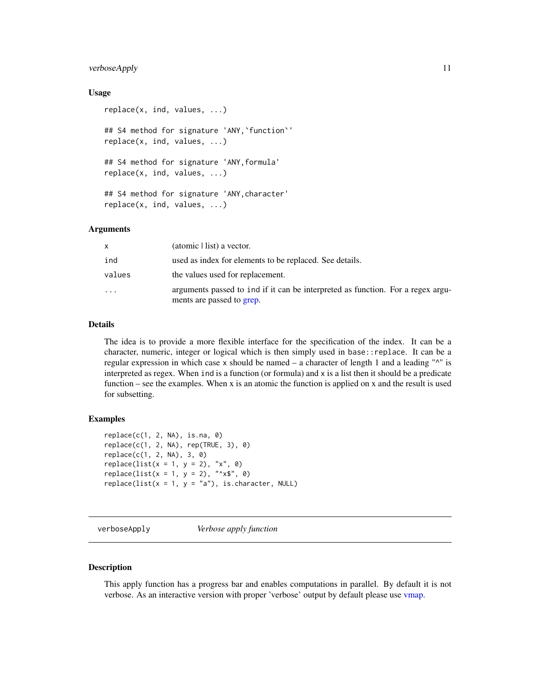## <span id="page-10-0"></span>verboseApply 11

#### Usage

```
replace(x, ind, values, ...)
## S4 method for signature 'ANY,`function`'
replace(x, ind, values, ...)
## S4 method for signature 'ANY,formula'
replace(x, ind, values, ...)
## S4 method for signature 'ANY,character'
replace(x, ind, values, ...)
```
#### Arguments

| x                       | (atomic   list) a vector.                                                                                    |
|-------------------------|--------------------------------------------------------------------------------------------------------------|
| ind                     | used as index for elements to be replaced. See details.                                                      |
| values                  | the values used for replacement.                                                                             |
| $\cdot$ $\cdot$ $\cdot$ | arguments passed to ind if it can be interpreted as function. For a regex argu-<br>ments are passed to grep. |

## Details

The idea is to provide a more flexible interface for the specification of the index. It can be a character, numeric, integer or logical which is then simply used in base::replace. It can be a regular expression in which case x should be named  $-$  a character of length 1 and a leading " $^{\wedge}$ " is interpreted as regex. When ind is a function (or formula) and x is a list then it should be a predicate function – see the examples. When x is an atomic the function is applied on x and the result is used for subsetting.

#### Examples

```
replace(c(1, 2, NA), is.na, 0)
replace(c(1, 2, NA), rep(TRUE, 3), 0)
replace(c(1, 2, NA), 3, 0)
replace(list(x = 1, y = 2), "x", 0)replace(list(x = 1, y = 2), "^x * \$", 0)replace(list(x = 1, y = "a"), is-character, NULL)
```
<span id="page-10-1"></span>verboseApply *Verbose apply function*

#### Description

This apply function has a progress bar and enables computations in parallel. By default it is not verbose. As an interactive version with proper 'verbose' output by default please use [vmap.](#page-6-2)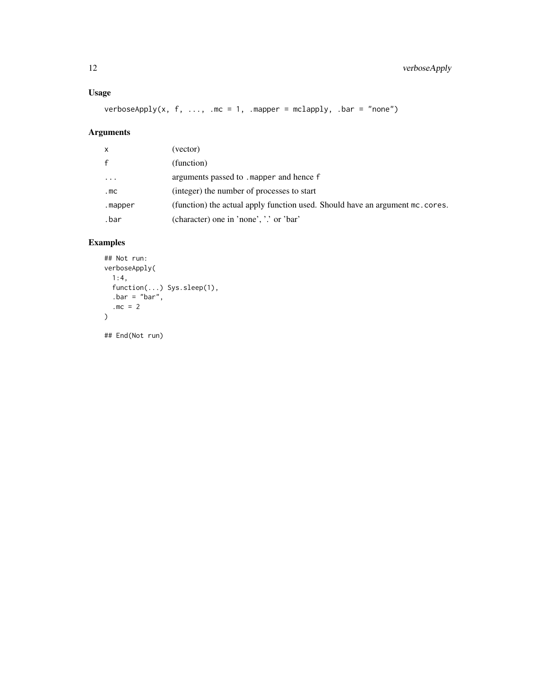## Usage

verboseApply(x, f, ..., .mc = 1, .mapper = mclapply, .bar = "none")

## Arguments

| x            | (vector)                                                                      |
|--------------|-------------------------------------------------------------------------------|
| $\mathsf{f}$ | (function)                                                                    |
| $\cdots$     | arguments passed to . mapper and hence f                                      |
| .mC          | (integer) the number of processes to start                                    |
| .mapper      | (function) the actual apply function used. Should have an argument mc. cores. |
| .bar         | (character) one in 'none', '.' or 'bar'                                       |

## Examples

```
## Not run:
verboseApply(
  1:4,
  function(...) Sys.sleep(1),
  bar = "bar",.mc = 2\lambda
```
## End(Not run)